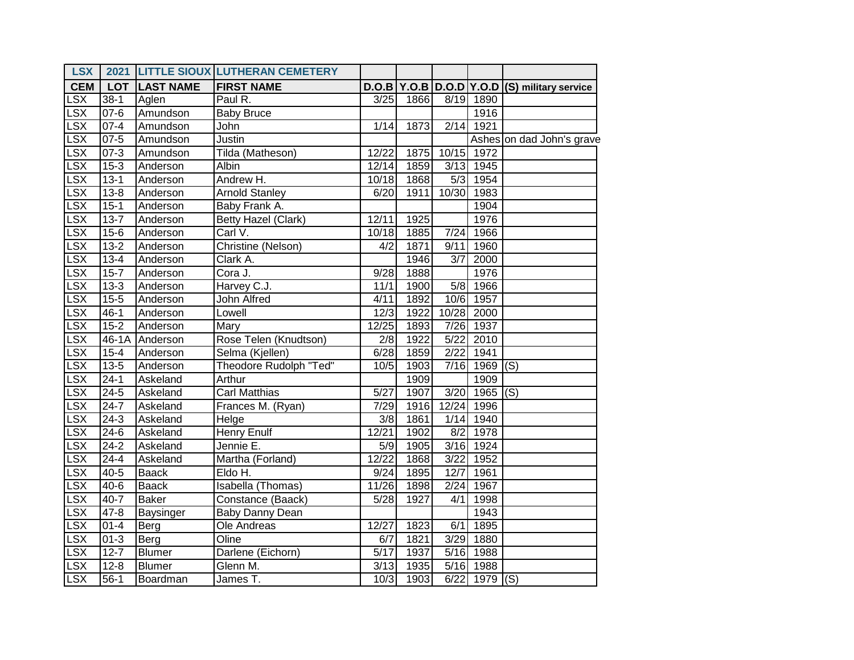| <b>LSX</b> |          |                      | 2021 LITTLE SIOUX LUTHERAN CEMETERY |        |      |                  |                    |                                              |
|------------|----------|----------------------|-------------------------------------|--------|------|------------------|--------------------|----------------------------------------------|
| <b>CEM</b> |          | <b>LOT LAST NAME</b> | <b>FIRST NAME</b>                   |        |      |                  |                    | D.O.B Y.O.B D.O.D Y.O.D (S) military service |
| LSX        | $38-1$   | Aglen                | Paul R.                             | 3/25   | 1866 |                  | 8/19 1890          |                                              |
| LSX        | $07 - 6$ | Amundson             | <b>Baby Bruce</b>                   |        |      |                  | 1916               |                                              |
| LSX        | $07 - 4$ | Amundson             | John                                | $1/14$ | 1873 |                  | 2/14 1921          |                                              |
| LSX        | $07 - 5$ | Amundson             | Justin                              |        |      |                  |                    | Ashes on dad John's grave                    |
| LSX        | $07 - 3$ | Amundson             | Tilda (Matheson)                    | 12/22  | 1875 |                  | 10/15 1972         |                                              |
| LSX        | $15-3$   | Anderson             | Albin                               | 12/14  | 1859 |                  | 3/13 1945          |                                              |
| LSX        | $13 - 1$ | Anderson             | Andrew H.                           | 10/18  | 1868 |                  | 5/3 1954           |                                              |
| LSX        | $13 - 8$ | Anderson             | <b>Arnold Stanley</b>               | 6/20   | 1911 |                  | 10/30 1983         |                                              |
| LSX        | $15-1$   | Anderson             | Baby Frank A.                       |        |      |                  | 1904               |                                              |
| LSX        | $13 - 7$ | Anderson             | <b>Betty Hazel (Clark)</b>          | 12/11  | 1925 |                  | 1976               |                                              |
| LSX        | $15-6$   | Anderson             | Carl $\overline{\vee}$ .            | 10/18  | 1885 | 7/24             | 1966               |                                              |
| LSX        | $13 - 2$ | Anderson             | Christine (Nelson)                  | 4/2    | 1871 | 9/11             | 1960               |                                              |
| LSX        | $13 - 4$ | Anderson             | Clark A.                            |        | 1946 | $\overline{3/7}$ | $\overline{12000}$ |                                              |
| LSX        | $15 - 7$ | Anderson             | Cora J.                             | 9/28   | 1888 |                  | 1976               |                                              |
| LSX        | $13 - 3$ | Anderson             | Harvey C.J.                         | 11/1   | 1900 |                  | 5/8 1966           |                                              |
| LSX        | $15 - 5$ | Anderson             | John Alfred                         | 4/11   | 1892 |                  | 10/6 1957          |                                              |
| LSX        | $46 - 1$ | Anderson             | Lowell                              | 12/3   | 1922 |                  | 10/28 2000         |                                              |
| LSX        | $15 - 2$ | Anderson             | Mary                                | 12/25  | 1893 |                  | 7/26 1937          |                                              |
| LSX        |          | 46-1A Anderson       | Rose Telen (Knudtson)               | 2/8    | 1922 |                  | 5/22 2010          |                                              |
| LSX        | $15 - 4$ | Anderson             | Selma (Kjellen)                     | 6/28   | 1859 |                  | 2/22 1941          |                                              |
| LSX        | $13 - 5$ | Anderson             | Theodore Rudolph "Ted"              | 10/5   | 1903 |                  | $7/16$ 1969 (S)    |                                              |
| LSX        | $24-1$   | Askeland             | Arthur                              |        | 1909 |                  | 1909               |                                              |
| LSX        | $24 - 5$ | Askeland             | Carl Matthias                       | 5/27   | 1907 |                  | $3/20$ 1965 (S)    |                                              |
| LSX        | $24 - 7$ | Askeland             | Frances M. (Ryan)                   | 7/29   | 1916 |                  | 12/24 1996         |                                              |
| LSX        | $24-3$   | Askeland             | Helge                               | 3/8    | 1861 |                  | $1/14$ 1940        |                                              |
| LSX        | $24-6$   | Askeland             | <b>Henry Enulf</b>                  | 12/21  | 1902 |                  | $8/2$ 1978         |                                              |
| LSX        | $24-2$   | Askeland             | Jennie E.                           | 5/9    | 1905 |                  | 3/16 1924          |                                              |
| LSX        | $24 - 4$ | Askeland             | Martha (Forland)                    | 12/22  | 1868 |                  | 3/22 1952          |                                              |
| LSX        | $40 - 5$ | <b>Baack</b>         | Eldo H.                             | 9/24   | 1895 | 12/7             | 1961               |                                              |
| LSX        | $40 - 6$ | <b>Baack</b>         | Isabella (Thomas)                   | 11/26  | 1898 | 2/24             | 1967               |                                              |
| LSX        | $40 - 7$ | <b>Baker</b>         | Constance (Baack)                   | 5/28   | 1927 | 4/1              | 1998               |                                              |
| LSX        | $47 - 8$ | <b>Baysinger</b>     | Baby Danny Dean                     |        |      |                  | 1943               |                                              |
| LSX        | $01 - 4$ | Berg                 | Ole Andreas                         | 12/27  | 1823 |                  | $6/1$ 1895         |                                              |
| LSX        | $01 - 3$ | Berg                 | Oline                               | 6/7    | 1821 |                  | 3/29 1880          |                                              |
| <b>LSX</b> | $12 - 7$ | <b>Blumer</b>        | Darlene (Eichorn)                   | 5/17   | 1937 |                  | 5/16 1988          |                                              |
| LSX        | $12 - 8$ | <b>Blumer</b>        | Glenn M.                            | 3/13   | 1935 |                  | 5/16 1988          |                                              |
| LSX        | $56-1$   | Boardman             | James T.                            | 10/3   | 1903 |                  | $6/22$ 1979 (S)    |                                              |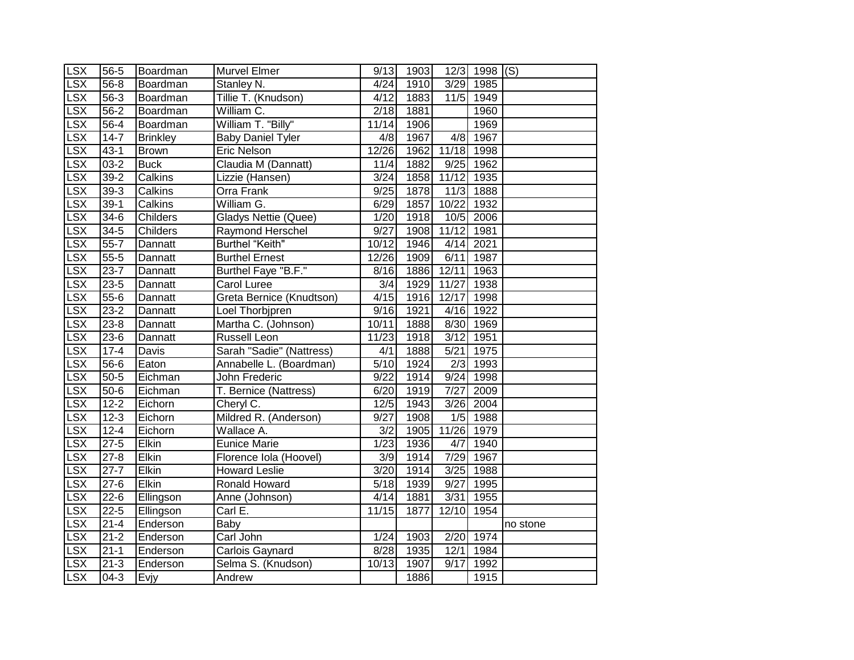| <b>LSX</b>             | 56-5               | Boardman        | Murvel Elmer                   | 9/13  | 1903 |            | 12/3 1998 (S) |          |
|------------------------|--------------------|-----------------|--------------------------------|-------|------|------------|---------------|----------|
| LSX                    | $56 - 8$           | Boardman        | Stanley N.                     | 4/24  | 1910 |            | 3/29 1985     |          |
| <b>LSX</b>             | 56-3               | Boardman        | Tillie T. (Knudson)            | 4/12  | 1883 | 11/5       | 1949          |          |
| <b>LSX</b>             | $56 - 2$           | Boardman        | $\overline{\text{William}}$ C. | 2/18  | 1881 |            | 1960          |          |
| <b>LSX</b>             | $56 - 4$           | Boardman        | William T. "Billy"             | 11/14 | 1906 |            | 1969          |          |
| LSX                    | $14 - 7$           | <b>Brinkley</b> | <b>Baby Daniel Tyler</b>       | 4/8   | 1967 | 4/8        | 1967          |          |
| LSX                    | $43-1$             | <b>Brown</b>    | <b>Eric Nelson</b>             | 12/26 | 1962 | 11/18 1998 |               |          |
| <b>LSX</b>             | $03-2$             | <b>Buck</b>     | Claudia M (Dannatt)            | 11/4  | 1882 | 9/25       | 1962          |          |
| LSX                    | $39-2$             | Calkins         | Lizzie (Hansen)                | 3/24  | 1858 | 11/12      | 1935          |          |
| <b>LSX</b>             | $39-3$             | Calkins         | Orra Frank                     | 9/25  | 1878 | 11/3       | 1888          |          |
| <b>LSX</b>             | $39-1$             | Calkins         | William G.                     | 6/29  | 1857 | 10/22      | 1932          |          |
| S X                    | $34-6$             | Childers        | Gladys Nettie (Quee)           | 1/20  | 1918 | 10/5       | 2006          |          |
| <b>LSX</b>             | $34 - 5$           | Childers        | Raymond Herschel               | 9/27  | 1908 | 11/12      | 1981          |          |
| <b>LSX</b>             | $55 - 7$           | Dannatt         | <b>Burthel "Keith"</b>         | 10/12 | 1946 | 4/14       | 2021          |          |
| <b>LSX</b>             | $55 - 5$           | Dannatt         | <b>Burthel Ernest</b>          | 12/26 | 1909 | 6/11       | 1987          |          |
| <b>LSX</b>             | $23 - 7$           | Dannatt         | Burthel Faye "B.F."            | 8/16  | 1886 | 12/11      | 1963          |          |
| <b>LSX</b>             | $23 - 5$           | Dannatt         | <b>Carol Luree</b>             | 3/4   | 1929 | 11/27      | 1938          |          |
| <b>LSX</b>             | $55-6$             | Dannatt         | Greta Bernice (Knudtson)       | 4/15  | 1916 | 12/17      | 1998          |          |
| <b>LSX</b>             | $23-2$             | Dannatt         | Loel Thorbjpren                | 9/16  | 1921 |            | 4/16 1922     |          |
| <b>LSX</b>             | $23 - 8$           | Dannatt         | Martha C. (Johnson)            | 10/11 | 1888 |            | 8/30 1969     |          |
| <b>LSX</b>             | $23-6$             | Dannatt         | Russell Leon                   | 11/23 | 1918 | 3/12       | 1951          |          |
| LSX                    | $17-4$             | Davis           | Sarah "Sadie" (Nattress)       | 4/1   | 1888 | 5/21       | 1975          |          |
| LSX                    | $56 - 6$           | Eaton           | Annabelle L. (Boardman)        | 5/10  | 1924 | 2/3        | 1993          |          |
| <b>LSX</b>             | $50 - 5$           | Eichman         | John Frederic                  | 9/22  | 1914 | 9/24       | 1998          |          |
| <b>LSX</b>             | $50 - 6$           | Eichman         | T. Bernice (Nattress)          | 6/20  | 1919 | 7/27       | 2009          |          |
| <b>LSX</b>             | $12 - 2$           | Eichorn         | Cheryl C.                      | 12/5  | 1943 | 3/26       | 2004          |          |
| <b>LSX</b>             | $12 - 3$           | Eichorn         | Mildred R. (Anderson)          | 9/27  | 1908 |            | $1/5$ 1988    |          |
| LSX                    | $12 - 4$           | Eichorn         | Wallace A.                     | 3/2   | 1905 | 11/26 1979 |               |          |
| LSX                    | $27 - 5$           | Elkin           | <b>Eunice Marie</b>            | 1/23  | 1936 | 4/7        | 1940          |          |
| LSX                    | $27 - 8$           | Elkin           | Florence Iola (Hoovel)         | 3/9   | 1914 | 7/29       | 1967          |          |
| LSX                    | $27 - 7$           | Elkin           | <b>Howard Leslie</b>           | 3/20  | 1914 | 3/25       | 1988          |          |
| LSX                    | $27 - 6$           | Elkin           | Ronald Howard                  | 5/18  | 1939 | 9/27       | 1995          |          |
| LSX                    | $22 - 6$           | Ellingson       | Anne (Johnson)                 | 4/14  | 1881 | 3/31       | 1955          |          |
| $\overline{\text{SX}}$ | $22 - 5$           | Ellingson       | Carl E.                        | 11/15 | 1877 | 12/10      | 1954          |          |
| LSX                    | $21 - 4$           | Enderson        | Baby                           |       |      |            |               | no stone |
| <b>LSX</b>             | $\frac{1}{21-2}$   | Enderson        | Carl John                      | 1/24  | 1903 | 2/20       | 1974          |          |
| <b>LSX</b>             | $21 - 1$           | Enderson        | Carlois Gaynard                | 8/28  | 1935 | 12/1       | 1984          |          |
| <b>LSX</b>             | $\overline{2}$ 1-3 | Enderson        | Selma S. (Knudson)             | 10/13 | 1907 | 9/17       | 1992          |          |
| <b>LSX</b>             | $04-3$             | Evjy            | Andrew                         |       | 1886 |            | 1915          |          |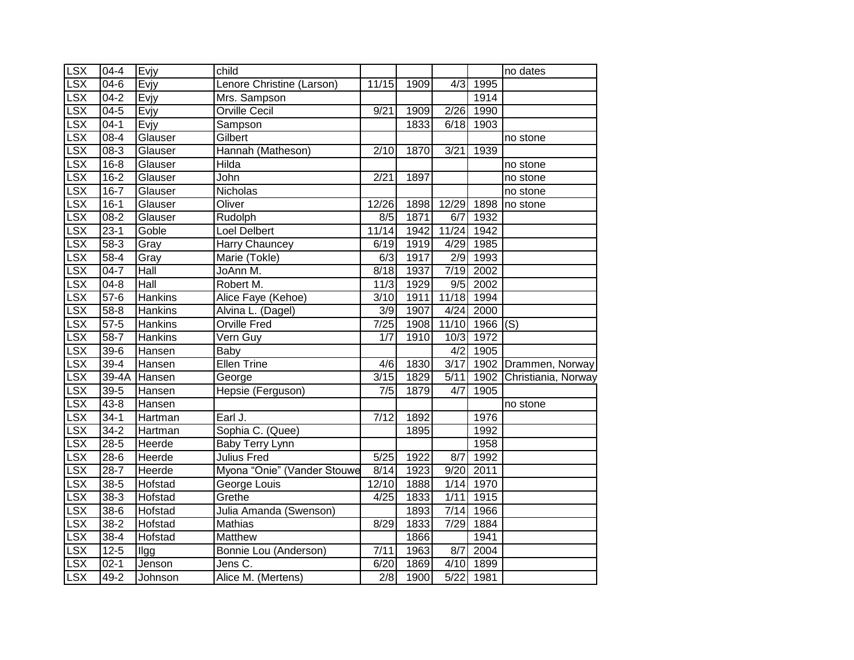| <b>LSX</b>              | $04 - 4$ | Evjy           | child                       |                   |      |                  |           | no dates            |
|-------------------------|----------|----------------|-----------------------------|-------------------|------|------------------|-----------|---------------------|
| LSX                     | $04-6$   | Evjy           | Lenore Christine (Larson)   | 11/15             | 1909 | $\overline{4/3}$ | 1995      |                     |
| LSX                     | $04 - 2$ | Evjy           | Mrs. Sampson                |                   |      |                  | 1914      |                     |
| <b>LSX</b>              | $04 - 5$ | Evjy           | <b>Orville Cecil</b>        | 9/21              | 1909 | 2/26             | 1990      |                     |
| <b>LSX</b>              | $04-1$   | Evjy           | Sampson                     |                   | 1833 |                  | 6/18 1903 |                     |
| LSX                     | $08 - 4$ | Glauser        | Gilbert                     |                   |      |                  |           | no stone            |
| LSX                     | $08 - 3$ | Glauser        | Hannah (Matheson)           | 2/10              | 1870 | 3/21             | 1939      |                     |
| LSX                     | $16 - 8$ | Glauser        | <b>Hilda</b>                |                   |      |                  |           | no stone            |
| LSX                     | $16 - 2$ | Glauser        | John                        | 2/21              | 1897 |                  |           | no stone            |
| LSX                     | $16 - 7$ | Glauser        | Nicholas                    |                   |      |                  |           | no stone            |
| LSX                     | $16-1$   | Glauser        | Oliver                      | 12/26             | 1898 | 12/29            | 1898      | no stone            |
| S X                     | $08 - 2$ | Glauser        | Rudolph                     | 8/5               | 1871 | 6/7              | 1932      |                     |
| LSX                     | $23-1$   | Goble          | Loel Delbert                | 11/14             | 1942 | 11/24            | 1942      |                     |
| <b>LSX</b>              | $58-3$   | Gray           | Harry Chauncey              | 6/19              | 1919 | 4/29             | 1985      |                     |
| <b>LSX</b>              | $58-4$   | Gray           | Marie (Tokle)               | 6/3               | 1917 | 2/9              | 1993      |                     |
| <b>LSX</b>              | $04 - 7$ | Hall           | JoAnn M.                    | 8/18              | 1937 | 7/19             | 2002      |                     |
| $\overline{\text{LSX}}$ | $04 - 8$ | Hall           | Robert M.                   | 11/3              | 1929 | $\overline{9/5}$ | 2002      |                     |
| LSX                     | $57-6$   | <b>Hankins</b> | Alice Faye (Kehoe)          | 3/10              | 1911 | 11/18            | 1994      |                     |
| <b>LSX</b>              | $58 - 8$ | <b>Hankins</b> | Alvina L. (Dagel)           | 3/9               | 1907 | 4/24             | 2000      |                     |
| <b>LSX</b>              | $57-5$   | Hankins        | <b>Orville Fred</b>         | $\sqrt{7/25}$     | 1908 | 11/10            | 1966      | (S)                 |
| LSX                     | $58-7$   | <b>Hankins</b> | Vern Guy                    | $\overline{1/7}$  | 1910 | 10/3             | 1972      |                     |
| LSX                     | $39 - 6$ | Hansen         | <b>Baby</b>                 |                   |      | 4/2              | 1905      |                     |
| S X                     | $39-4$   | Hansen         | <b>Ellen Trine</b>          | 4/6               | 1830 | 3/17             | 1902      | Drammen, Norway     |
| LSX                     | $39-4A$  | Hansen         | George                      | 3/15              | 1829 | 5/11             | 1902      | Christiania, Norway |
| LSX                     | $39 - 5$ | Hansen         | Hepsie (Ferguson)           | $\overline{7/5}$  | 1879 | 4/7              | 1905      |                     |
| LSX                     | $43 - 8$ | Hansen         |                             |                   |      |                  |           | no stone            |
| <b>LSX</b>              | $34-1$   | Hartman        | Earl J.                     | 7/12              | 1892 |                  | 1976      |                     |
| <b>LSX</b>              | $34 - 2$ | Hartman        | Sophia C. (Quee)            |                   | 1895 |                  | 1992      |                     |
| LSX                     | $28 - 5$ | Heerde         | Baby Terry Lynn             |                   |      |                  | 1958      |                     |
| LSX                     | $28-6$   | Heerde         | <b>Julius Fred</b>          | $\overline{5/25}$ | 1922 | 8/7              | 1992      |                     |
| LSX                     | $28-7$   | Heerde         | Myona "Onie" (Vander Stouwe | 8/14              | 1923 | 9/20             | 2011      |                     |
| LSX                     | $38 - 5$ | Hofstad        | George Louis                | 12/10             | 1888 | 1/14             | 1970      |                     |
| <b>LSX</b>              | $38 - 3$ | Hofstad        | Grethe                      | 4/25              | 1833 | 1/11             | 1915      |                     |
| <b>LSX</b>              | $38-6$   | Hofstad        | Julia Amanda (Swenson)      |                   | 1893 | 7/14             | 1966      |                     |
| LSX                     | $38 - 2$ | Hofstad        | Mathias                     | 8/29              | 1833 | 7/29             | 1884      |                     |
| LSX                     | $38 - 4$ | Hofstad        | Matthew                     |                   | 1866 |                  | 1941      |                     |
| <b>LSX</b>              | $12 - 5$ | Ilgg           | Bonnie Lou (Anderson)       | 7/11              | 1963 | 8/7              | 2004      |                     |
| LSX                     | $02 - 1$ | Jenson         | Jens C.                     | 6/20              | 1869 | 4/10             | 1899      |                     |
| <b>LSX</b>              | 49-2     | Johnson        | Alice M. (Mertens)          | 2/8               | 1900 | 5/22             | 1981      |                     |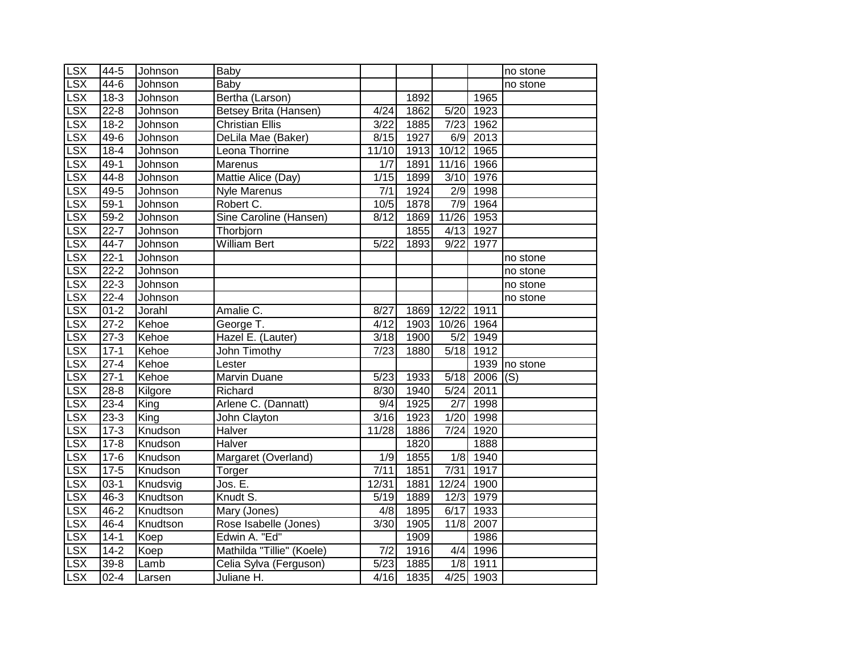| <b>LSX</b>              | 44-5               | Johnson  | Baby                      |                  |                   |                  |           | no stone |
|-------------------------|--------------------|----------|---------------------------|------------------|-------------------|------------------|-----------|----------|
| LSX                     | $44-6$             | Johnson  | Baby                      |                  |                   |                  |           | no stone |
| <b>LSX</b>              | $18-3$             | Johnson  | Bertha (Larson)           |                  | 1892              |                  | 1965      |          |
| <b>LSX</b>              | $22 - 8$           | Johnson  | Betsey Brita (Hansen)     | 4/24             | 1862              | 5/20             | 1923      |          |
| <b>LSX</b>              | $18 - 2$           | Johnson  | <b>Christian Ellis</b>    | 3/22             | 1885              | 7/23             | 1962      |          |
| LSX                     | $49-6$             | Johnson  | DeLila Mae (Baker)        | 8/15             | 1927              | 6/9              | 2013      |          |
| LSX                     | $18-4$             | Johnson  | Leona Thorrine            | 11/10            | 1913              | 10/12            | 1965      |          |
| LSX                     | $49-1$             | Johnson  | Marenus                   | 1/7              | 1891              | 11/16            | 1966      |          |
| LSX                     | 44-8               | Johnson  | Mattie Alice (Day)        | 1/15             | 1899              | 3/10             | 1976      |          |
| LSX                     | 49-5               | Johnson  | Nyle Marenus              | 7/1              | 1924              | 2/9              | 1998      |          |
| LSX                     | $59-1$             | Johnson  | Robert C.                 | 10/5             | 1878              | $\overline{7/9}$ | 1964      |          |
| S X                     | $59-2$             | Johnson  | Sine Caroline (Hansen)    | 8/12             | 1869              | 11/26            | 1953      |          |
| LSX                     | $22 - 7$           | Johnson  | Thorbjorn                 |                  | 1855              | 4/13             | 1927      |          |
| LSX                     | $44 - 7$           | Johnson  | <b>William Bert</b>       | 5/22             | 1893              | 9/22             | 1977      |          |
| <b>LSX</b>              | $22 - 1$           | Johnson  |                           |                  |                   |                  |           | no stone |
| <b>LSX</b>              | $22 - 2$           | Johnson  |                           |                  |                   |                  |           | no stone |
| <b>LSX</b>              | $22 - 3$           | Johnson  |                           |                  |                   |                  |           | no stone |
| $\overline{\text{LSX}}$ | $22 - 4$           | Johnson  |                           |                  |                   |                  |           | no stone |
| LSX                     | $01 - 2$           | Jorahl   | Amalie C.                 | 8/27             | 1869              | 12/22            | 1911      |          |
| <b>LSX</b>              | $27 - 2$           | Kehoe    | George T.                 | 4/12             | 1903              | 10/26 1964       |           |          |
| LSX                     | $27-3$             | Kehoe    | Hazel E. (Lauter)         | 3/18             | 1900              | 5/2              | 1949      |          |
| <b>LSX</b>              | $17-1$             | Kehoe    | John Timothy              | $\sqrt{7/23}$    | 1880              |                  | 5/18 1912 |          |
| LSX                     | $27 - 4$           | Kehoe    | Lester                    |                  |                   |                  | 1939      | no stone |
| LSX                     | $27-1$             | Kehoe    | Marvin Duane              | 5/23             | 1933              | 5/18             | 2006      | (S)      |
| <b>LSX</b>              | $28 - 8$           | Kilgore  | Richard                   | 8/30             | 1940              | 5/24             | 2011      |          |
| <b>LSX</b>              | $23 - 4$           | King     | Arlene C. (Dannatt)       | 9/4              | $\overline{1925}$ | 2/7              | 1998      |          |
| LSX                     | $23 - 3$           | King     | John Clayton              | 3/16             | 1923              | 1/20             | 1998      |          |
| LSX                     | $17-3$             | Knudson  | Halver                    | 11/28            | 1886              | 7/24             | 1920      |          |
| LSX                     | $17 - 8$           | Knudson  | <b>Halver</b>             |                  | 1820              |                  | 1888      |          |
| LSX                     | $17 - 6$           | Knudson  | Margaret (Overland)       | $\overline{1/9}$ | 1855              | $\overline{1/8}$ | 1940      |          |
| <b>LSX</b>              | $17 - 5$           | Knudson  | Torger                    | 7/11             | 1851              | 7/31             | 1917      |          |
| LSX                     | $03-1$             | Knudsvig | Jos. E.                   | 12/31            | 1881              | 12/24            | 1900      |          |
| LSX                     | $46 - 3$           | Knudtson | Knudt S.                  | 5/19             | 1889              | 12/3             | 1979      |          |
| <b>LSX</b>              | 46-2               | Knudtson | Mary (Jones)              | 4/8              | 1895              | 6/17             | 1933      |          |
| <b>LSX</b>              | 46-4               | Knudtson | Rose Isabelle (Jones)     | 3/30             | 1905              | 11/8             | 2007      |          |
| LSX                     | $14 - 1$           | Koep     | Edwin A. "Ed"             |                  | 1909              |                  | 1986      |          |
| <b>LSX</b>              | $\overline{1}$ 4-2 | Koep     | Mathilda "Tillie" (Koele) | 7/2              | 1916              | 4/4              | 1996      |          |
| <b>LSX</b>              | $39 - 8$           | Lamb     | Celia Sylva (Ferguson)    | 5/23             | 1885              | 1/8              | 1911      |          |
| <b>LSX</b>              | $02 - 4$           | Larsen   | Juliane H.                | 4/16             | 1835              |                  | 4/25 1903 |          |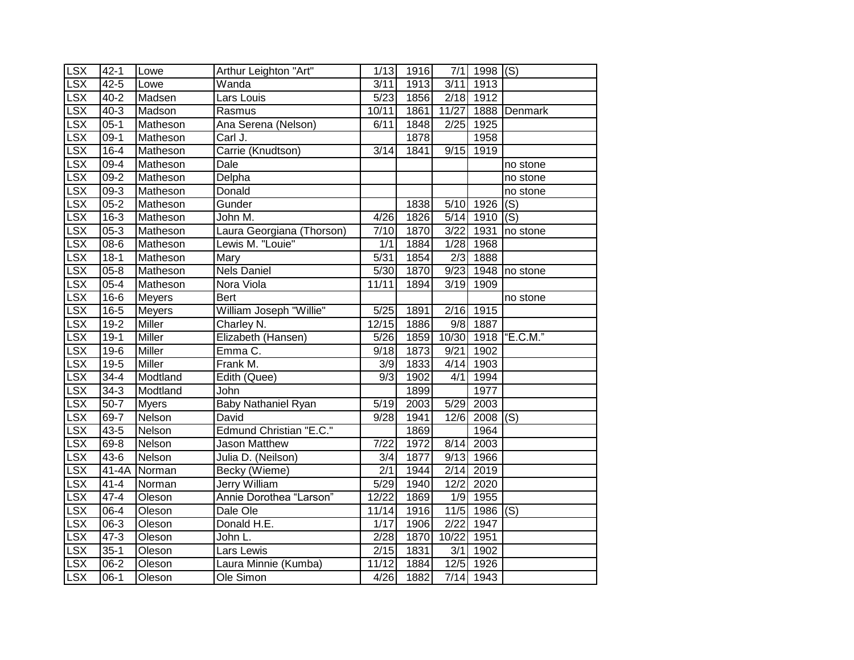| <b>LSX</b>              | $42 - 1$  | Lowe          | Arthur Leighton "Art"          | 1/13              | 1916 | 7/1               | $1998$ (S) |                      |
|-------------------------|-----------|---------------|--------------------------------|-------------------|------|-------------------|------------|----------------------|
| LSX                     | $42 - 5$  | Lowe          | Wanda                          | 3/11              | 1913 | 3/11              | 1913       |                      |
| LSX                     | $40 - 2$  | Madsen        | Lars Louis                     | 5/23              | 1856 | 2/18              | 1912       |                      |
| LSX                     | $40 - 3$  | Madson        | Rasmus                         | 10/11             | 1861 | 11/27             |            | 1888 Denmark         |
| LSX                     | $05-1$    | Matheson      | Ana Serena (Nelson)            | 6/11              | 1848 | 2/25              | 1925       |                      |
| LSX                     | $09-1$    | Matheson      | Carl J.                        |                   | 1878 |                   | 1958       |                      |
| LSX                     | $16 - 4$  | Matheson      | Carrie (Knudtson)              | 3/14              | 1841 | 9/15              | 1919       |                      |
| LSX                     | $09 - 4$  | Matheson      | Dale                           |                   |      |                   |            | no stone             |
| LSX                     | $09 - 2$  | Matheson      | Delpha                         |                   |      |                   |            | no stone             |
| LSX                     | $09-3$    | Matheson      | Donald                         |                   |      |                   |            | no stone             |
| $\overline{\text{LSX}}$ | $05 - 2$  | Matheson      | Gunder                         |                   | 1838 | 5/10              | 1926       | (S)                  |
| LSX                     | $16 - 3$  | Matheson      | John M.                        | 4/26              | 1826 | $5/14$            | 1910       | (S)                  |
| LSX                     | $05 - 3$  | Matheson      | Laura Georgiana (Thorson)      | 7/10              | 1870 | 3/22              | 1931       | no stone             |
| LSX                     | 08-6      | Matheson      | Lewis M. "Louie"               | 1/1               | 1884 | 1/28              | 1968       |                      |
| LSX                     | $18-1$    | Matheson      | Mary                           | 5/31              | 1854 | 2/3               | 1888       |                      |
| LSX                     | $05 - 8$  | Matheson      | <b>Nels Daniel</b>             | 5/30              | 1870 | 9/23              |            | 1948 no stone        |
| $\overline{\text{LSX}}$ | $05 - 4$  | Matheson      | Nora Viola                     | 11/11             | 1894 | $\overline{3/19}$ | 1909       |                      |
| LSX                     | $16-6$    | <b>Meyers</b> | <b>Bert</b>                    |                   |      |                   |            | no stone             |
| LSX                     | $16-5$    | <b>Meyers</b> | William Joseph "Willie"        | $\overline{5/25}$ | 1891 | 2/16              | 1915       |                      |
| LSX                     | $19-2$    | Miller        | Charley N.                     | 12/15             | 1886 | 9/8               | 1887       |                      |
| LSX                     | $19-1$    | Miller        | Elizabeth (Hansen)             | 5/26              | 1859 | 10/30             |            | 1918 <b>"E.C.M."</b> |
| LSX                     | $19-6$    | <b>Miller</b> | Emma C.                        | 9/18              | 1873 | 9/21              | 1902       |                      |
| $S\times$               | $19 - 5$  | <b>Miller</b> | Frank M.                       | 3/9               | 1833 | 4/14              | 1903       |                      |
| LSX                     | $34 - 4$  | Modtland      | Edith (Quee)                   | $\overline{9/3}$  | 1902 | 4/1               | 1994       |                      |
| $\overline{\text{LSX}}$ | $34-3$    | Modtland      | John                           |                   | 1899 |                   | 1977       |                      |
| LSX                     | $50 - 7$  | <b>Myers</b>  | Baby Nathaniel Ryan            | $\overline{5}/19$ | 2003 | 5/29              | 2003       |                      |
| LSX                     | $69 - 7$  | Nelson        | David                          | 9/28              | 1941 | 12/6              | 2008       | (S)                  |
| LSX                     | $43 - 5$  | Nelson        | <b>Edmund Christian "E.C."</b> |                   | 1869 |                   | 1964       |                      |
| LSX                     | $69 - 8$  | Nelson        | <b>Jason Matthew</b>           | 7/22              | 1972 | 8/14              | 2003       |                      |
| LSX                     | $43-6$    | Nelson        | Julia D. (Neilson)             | 3/4               | 1877 | 9/13              | 1966       |                      |
| LSX                     | $41 - 4A$ | Norman        | Becky (Wieme)                  | $\overline{2/1}$  | 1944 | 2/14              | 2019       |                      |
| LSX                     | $41 - 4$  | Norman        | Jerry William                  | 5/29              | 1940 | 12/2              | 2020       |                      |
| LSX                     | $47 - 4$  | Oleson        | Annie Dorothea "Larson"        | 12/22             | 1869 | 1/9               | 1955       |                      |
| LSX                     | $06-4$    | Oleson        | Dale Ole                       | 11/14             | 1916 | 11/5              | $1986$ (S) |                      |
| LSX                     | 06-3      | Oleson        | Donald H.E.                    | 1/17              | 1906 | 2/22              | 1947       |                      |
| LSX                     | $47 - 3$  | Oleson        | John L.                        | 2/28              | 1870 | 10/22             | 1951       |                      |
| LSX                     | $35 - 1$  | Oleson        | Lars Lewis                     | 2/15              | 1831 | 3/1               | 1902       |                      |
| LSX                     | $06-2$    | Oleson        | Laura Minnie (Kumba)           | 11/12             | 1884 | 12/5              | 1926       |                      |
| <b>LSX</b>              | $06-1$    | Oleson        | Ole Simon                      | 4/26              | 1882 | $7/14$            | 1943       |                      |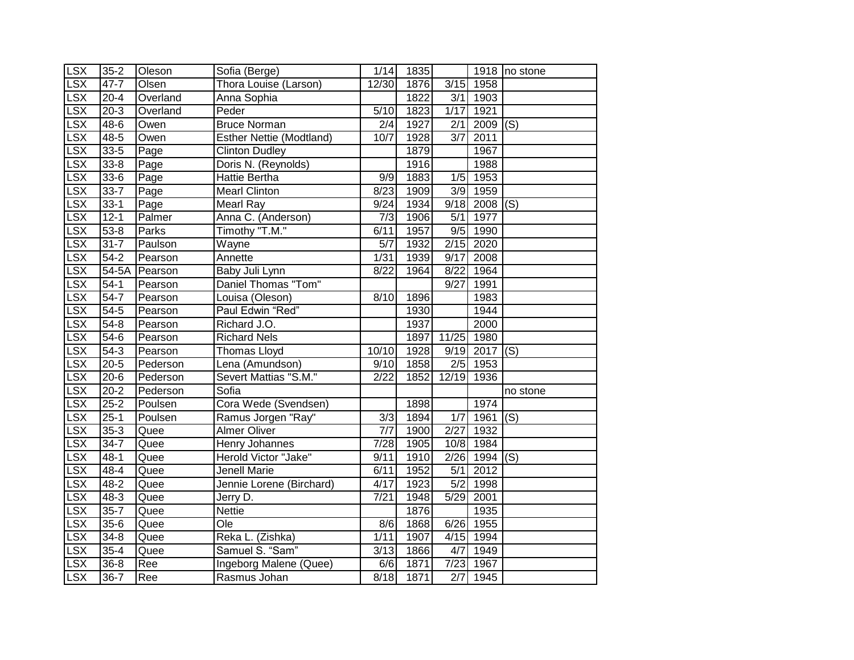| <b>LSX</b>              | $35 - 2$ | Oleson   | Sofia (Berge)                   | 1/14             | 1835 |                    |            | 1918 no stone             |
|-------------------------|----------|----------|---------------------------------|------------------|------|--------------------|------------|---------------------------|
| LSX                     | $47 - 7$ | Olsen    | Thora Louise (Larson)           | 12/30            | 1876 | 3/15               | 1958       |                           |
| <b>LSX</b>              | $20 - 4$ | Overland | Anna Sophia                     |                  | 1822 | 3/1                | 1903       |                           |
| <b>LSX</b>              | $20 - 3$ | Overland | Peder                           | 5/10             | 1823 | 1/17               | 1921       |                           |
| <b>LSX</b>              | 48-6     | Owen     | <b>Bruce Norman</b>             | $\frac{2}{4}$    | 1927 | 2/1                | 2009       | (S)                       |
| LSX                     | 48-5     | Owen     | <b>Esther Nettie (Modtland)</b> | 10/7             | 1928 | 3/7                | 2011       |                           |
| LSX                     | $33 - 5$ | Page     | <b>Clinton Dudley</b>           |                  | 1879 |                    | 1967       |                           |
| LSX                     | $33 - 8$ | Page     | Doris N. (Reynolds)             |                  | 1916 |                    | 1988       |                           |
| <b>LSX</b>              | $33 - 6$ | Page     | Hattie Bertha                   | 9/9              | 1883 | 1/5                | 1953       |                           |
| <b>LSX</b>              | $33 - 7$ | Page     | <b>Mearl Clinton</b>            | 8/23             | 1909 | 3/9                | 1959       |                           |
| LSX                     | $33-1$   | Page     | <b>Mearl Ray</b>                | 9/24             | 1934 | 9/18               | 2008       | (S)                       |
| LSX                     | $12 - 1$ | Palmer   | Anna C. (Anderson)              | 7/3              | 1906 | 5/1                | 1977       |                           |
| LSX                     | $53 - 8$ | Parks    | Timothy "T.M."                  | 6/11             | 1957 | 9/5                | 1990       |                           |
| <b>LSX</b>              | $31 - 7$ | Paulson  | Wayne                           | 5/7              | 1932 | 2/15               | 2020       |                           |
| <b>LSX</b>              | $54 - 2$ | Pearson  | Annette                         | 1/31             | 1939 | 9/17               | 2008       |                           |
| <b>LSX</b>              | $54-5A$  | Pearson  | Baby Juli Lynn                  | 8/22             | 1964 | 8/22               | 1964       |                           |
| $\overline{\text{LSX}}$ | $54-1$   | Pearson  | Daniel Thomas "Tom"             |                  |      | 9/27               | 1991       |                           |
| <b>LSX</b>              | $54 - 7$ | Pearson  | Louisa (Oleson)                 | 8/10             | 1896 |                    | 1983       |                           |
| <b>LSX</b>              | $54-5$   | Pearson  | Paul Edwin "Red"                |                  | 1930 |                    | 1944       |                           |
| <b>LSX</b>              | $54-8$   | Pearson  | Richard J.O.                    |                  | 1937 |                    | 2000       |                           |
| LSX                     | $54-6$   | Pearson  | <b>Richard Nels</b>             |                  | 1897 | 11/25              | 1980       |                           |
| LSX                     | $54-3$   | Pearson  | <b>Thomas Lloyd</b>             | 10/10            | 1928 |                    | 9/19 2017  | (S)                       |
| S X                     | $20 - 5$ | Pederson | Lena (Amundson)                 | 9/10             | 1858 |                    | $2/5$ 1953 |                           |
| LSX                     | $20 - 6$ | Pederson | Severt Mattias "S.M."           | 2/22             | 1852 | $\overline{12/19}$ | 1936       |                           |
| LSX                     | $20 - 2$ | Pederson | Sofia                           |                  |      |                    |            | no stone                  |
| LSX                     | $25 - 2$ | Poulsen  | Cora Wede (Svendsen)            |                  | 1898 |                    | 1974       |                           |
| <b>LSX</b>              | $25-1$   | Poulsen  | Ramus Jorgen "Ray"              | $\overline{3/3}$ | 1894 | $\overline{1/7}$   | 1961       | (S)                       |
| <b>LSX</b>              | $35-3$   | Quee     | <b>Almer Oliver</b>             | 7/7              | 1900 | $\overline{2/27}$  | 1932       |                           |
| LSX                     | $34 - 7$ | Quee     | Henry Johannes                  | 7/28             | 1905 | 10/8               | 1984       |                           |
| LSX                     | $48 - 1$ | Quee     | Herold Victor "Jake"            | 9/11             | 1910 |                    | 2/26 1994  | $\overline{(\mathsf{S})}$ |
| LSX                     | $48 - 4$ | Quee     | <b>Jenell Marie</b>             | 6/11             | 1952 | 5/1                | 2012       |                           |
| <b>LSX</b>              | $48 - 2$ | Quee     | Jennie Lorene (Birchard)        | 4/17             | 1923 | $\overline{5/2}$   | 1998       |                           |
| <b>LSX</b>              | 48-3     | Quee     | Jerry D.                        | 7/21             | 1948 | 5/29               | 2001       |                           |
| LSX                     | $35 - 7$ | Quee     | <b>Nettie</b>                   |                  | 1876 |                    | 1935       |                           |
| LSX                     | $35 - 6$ | Quee     | Ole                             | 8/6              | 1868 | 6/26               | 1955       |                           |
| <b>LSX</b>              | $34 - 8$ | Quee     | Reka L. (Zishka)                | 1/11             | 1907 | 4/15               | 1994       |                           |
| <b>LSX</b>              | $35 - 4$ | Quee     | Samuel S. "Sam"                 | 3/13             | 1866 | 4/7                | 1949       |                           |
| <b>LSX</b>              | $36 - 8$ | Ree      | Ingeborg Malene (Quee)          | 6/6              | 1871 | 7/23               | 1967       |                           |
| <b>LSX</b>              | $36-7$   | Ree      | Rasmus Johan                    | 8/18             | 1871 | 2/7                | 1945       |                           |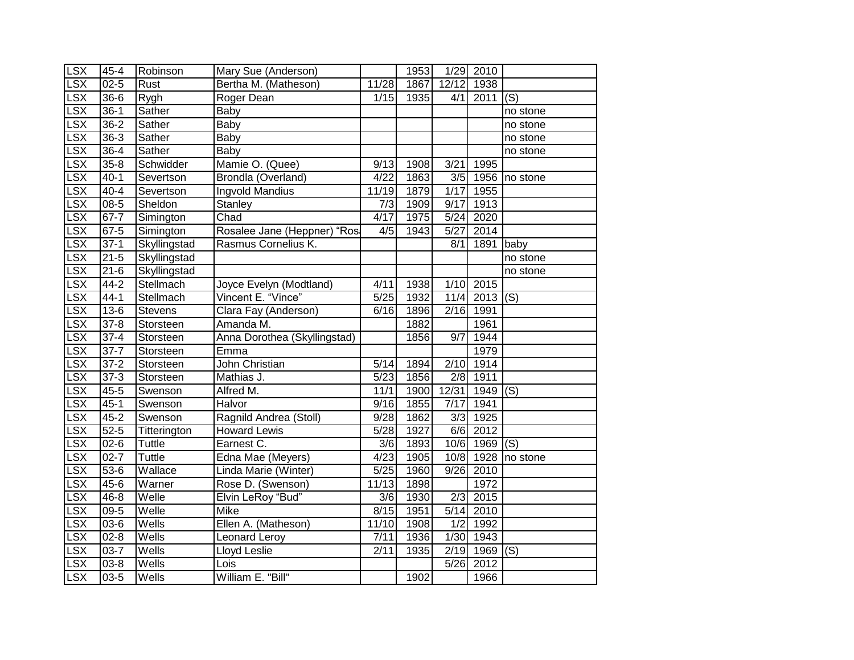| <b>LSX</b>      | $45 - 4$ | Robinson       | Mary Sue (Anderson)          |                   | 1953 |                   | 1/29 2010   |               |
|-----------------|----------|----------------|------------------------------|-------------------|------|-------------------|-------------|---------------|
| <b>LSX</b>      | $02 - 5$ | Rust           | Bertha M. (Matheson)         | 11/28             | 1867 | 12/12             | 1938        |               |
| LSX             | $36 - 6$ | Rygh           | Roger Dean                   | 1/15              | 1935 | 4/1               | 2011        | (S)           |
| <b>LSX</b>      | $36-1$   | Sather         | Baby                         |                   |      |                   |             | no stone      |
| LSX             | $36 - 2$ | Sather         | <b>Baby</b>                  |                   |      |                   |             | no stone      |
| LSX             | $36-3$   | Sather         | Baby                         |                   |      |                   |             | no stone      |
| <b>LSX</b>      | $36 - 4$ | Sather         | <b>Baby</b>                  |                   |      |                   |             | no stone      |
| LSX             | $35 - 8$ | Schwidder      | Mamie O. (Quee)              | 9/13              | 1908 | 3/21              | 1995        |               |
| <b>LSX</b>      | $40 - 1$ | Severtson      | Brondla (Overland)           | 4/22              | 1863 | 3/5               |             | 1956 no stone |
| LSX             | $40 - 4$ | Severtson      | <b>Ingvold Mandius</b>       | 11/19             | 1879 | 1/17              | 1955        |               |
| $S\overline{X}$ | $08 - 5$ | Sheldon        | Stanley                      | 7/3               | 1909 | 9/17              | 1913        |               |
| LSX             | $67 - 7$ | Simington      | Chad                         | 4/17              | 1975 | 5/24              | 2020        |               |
| <b>LSX</b>      | $67-5$   | Simington      | Rosalee Jane (Heppner) "Rosa | 4/5               | 1943 | $\overline{5}/27$ | 2014        |               |
| LSX             | $37-1$   | Skyllingstad   | Rasmus Cornelius K.          |                   |      | 8/1               | $1891$ baby |               |
| <b>LSX</b>      | $21 - 5$ | Skyllingstad   |                              |                   |      |                   |             | no stone      |
| <b>LSX</b>      | $21 - 6$ | Skyllingstad   |                              |                   |      |                   |             | no stone      |
| <b>LSX</b>      | $44 - 2$ | Stellmach      | Joyce Evelyn (Modtland)      | 4/11              | 1938 | 1/10              | 2015        |               |
| <b>LSX</b>      | $44-1$   | Stellmach      | Vincent E. "Vince"           | $5/25$            | 1932 | 11/4              | 2013        | (S)           |
| <b>LSX</b>      | $13-6$   | <b>Stevens</b> | Clara Fay (Anderson)         | 6/16              | 1896 | 2/16              | 1991        |               |
| <b>LSX</b>      | $37 - 8$ | Storsteen      | Amanda M.                    |                   | 1882 |                   | 1961        |               |
| <b>LSX</b>      | $37 - 4$ | Storsteen      | Anna Dorothea (Skyllingstad) |                   | 1856 | $\overline{9/7}$  | 1944        |               |
| LSX             | $37 - 7$ | Storsteen      | Emma                         |                   |      |                   | 1979        |               |
| S X             | $37 - 2$ | Storsteen      | John Christian               | 5/14              | 1894 | 2/10              | 1914        |               |
| LSX             | $37-3$   | Storsteen      | Mathias J.                   | 5/23              | 1856 | 2/8               | 1911        |               |
| LSX             | $45 - 5$ | Swenson        | Alfred M.                    | 11/1              | 1900 | 12/31             | 1949        | (S)           |
| <b>LSX</b>      | $45-1$   | Swenson        | Halvor                       | $\overline{9}/16$ | 1855 | 7/17              | 1941        |               |
| <b>LSX</b>      | $45 - 2$ | Swenson        | Ragnild Andrea (Stoll)       | 9/28              | 1862 | 3/3               | 1925        |               |
| <b>LSX</b>      | $52 - 5$ | Titterington   | <b>Howard Lewis</b>          | 5/28              | 1927 | 6/6               | 2012        |               |
| LSX             | $02 - 6$ | Tuttle         | Earnest C.                   | 3/6               | 1893 | 10/6              | 1969        | (S)           |
| <b>LSX</b>      | $02 - 7$ | Tuttle         | Edna Mae (Meyers)            | 4/23              | 1905 | 10/8              | 1928        | no stone      |
| <b>LSX</b>      | $53-6$   | Wallace        | Linda Marie (Winter)         | 5/25              | 1960 | 9/26              | 2010        |               |
| LSX             | $45 - 6$ | Warner         | Rose D. (Swenson)            | 11/13             | 1898 |                   | 1972        |               |
| LSX             | $46 - 8$ | Welle          | Elvin LeRoy "Bud"            | 3/6               | 1930 | 2/3               | 2015        |               |
| LSX             | $09 - 5$ | Welle          | Mike                         | 8/15              | 1951 | 5/14              | 2010        |               |
| LSX             | $03 - 6$ | Wells          | Ellen A. (Matheson)          | 11/10             | 1908 | 1/2               | 1992        |               |
| LSX             | $02 - 8$ | Wells          | Leonard Leroy                | 7/11              | 1936 | 1/30              | 1943        |               |
| <b>LSX</b>      | $03 - 7$ | Wells          | Lloyd Leslie                 | 2/11              | 1935 | 2/19              | 1969        | (S)           |
| <b>LSX</b>      | $03 - 8$ | Wells          | Lois                         |                   |      | 5/26              | 2012        |               |
| <b>LSX</b>      | $03 - 5$ | Wells          | William E. "Bill"            |                   | 1902 |                   | 1966        |               |